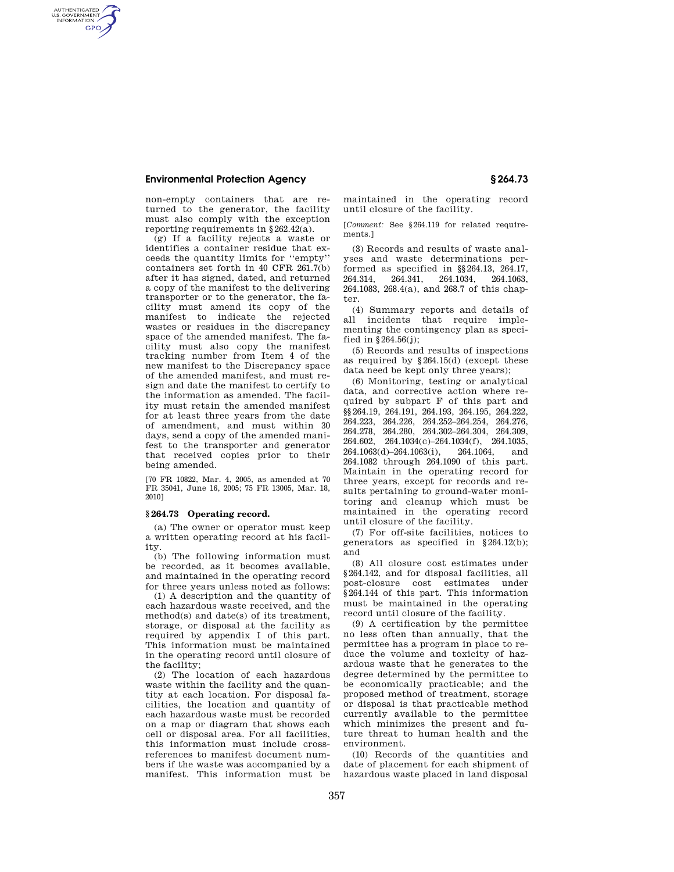## **Environmental Protection Agency § 264.73**

AUTHENTICATED<br>U.S. GOVERNMENT<br>INFORMATION **GPO** 

> non-empty containers that are returned to the generator, the facility must also comply with the exception reporting requirements in §262.42(a).

(g) If a facility rejects a waste or identifies a container residue that exceeds the quantity limits for ''empty'' containers set forth in 40 CFR 261.7(b) after it has signed, dated, and returned a copy of the manifest to the delivering transporter or to the generator, the facility must amend its copy of the manifest to indicate the rejected wastes or residues in the discrepancy space of the amended manifest. The facility must also copy the manifest tracking number from Item 4 of the new manifest to the Discrepancy space of the amended manifest, and must resign and date the manifest to certify to the information as amended. The facility must retain the amended manifest for at least three years from the date of amendment, and must within 30 days, send a copy of the amended manifest to the transporter and generator that received copies prior to their being amended.

[70 FR 10822, Mar. 4, 2005, as amended at 70 FR 35041, June 16, 2005; 75 FR 13005, Mar. 18, 2010]

## **§ 264.73 Operating record.**

(a) The owner or operator must keep a written operating record at his facility.

(b) The following information must be recorded, as it becomes available, and maintained in the operating record for three years unless noted as follows:

(1) A description and the quantity of each hazardous waste received, and the method(s) and date(s) of its treatment, storage, or disposal at the facility as required by appendix I of this part. This information must be maintained in the operating record until closure of the facility;

(2) The location of each hazardous waste within the facility and the quantity at each location. For disposal facilities, the location and quantity of each hazardous waste must be recorded on a map or diagram that shows each cell or disposal area. For all facilities, this information must include crossreferences to manifest document numbers if the waste was accompanied by a manifest. This information must be

maintained in the operating record until closure of the facility.

[*Comment:* See §264.119 for related requirements.]

(3) Records and results of waste analyses and waste determinations performed as specified in §§264.13, 264.17, 264.314, 264.341, 264.1034, 264.1063, 264.341, 264.1034, 264.1083, 268.4(a), and 268.7 of this chapter.

(4) Summary reports and details of all incidents that require implementing the contingency plan as specified in  $$264.56(i)$ :

(5) Records and results of inspections as required by §264.15(d) (except these data need be kept only three years);

(6) Monitoring, testing or analytical data, and corrective action where required by subpart F of this part and §§264.19, 264.191, 264.193, 264.195, 264.222, 264.223, 264.226, 264.252–264.254, 264.276, 264.278, 264.280, 264.302–264.304, 264.309, 264.602, 264.1034(c)–264.1034(f), 264.1035, 264.1063(d)–264.1063(i), 264.1064, and 264.1082 through 264.1090 of this part. Maintain in the operating record for three years, except for records and results pertaining to ground-water monitoring and cleanup which must be maintained in the operating record until closure of the facility.

(7) For off-site facilities, notices to generators as specified in §264.12(b); and

(8) All closure cost estimates under §264.142, and for disposal facilities, all post-closure cost estimates under §264.144 of this part. This information must be maintained in the operating record until closure of the facility.

(9) A certification by the permittee no less often than annually, that the permittee has a program in place to reduce the volume and toxicity of hazardous waste that he generates to the degree determined by the permittee to be economically practicable; and the proposed method of treatment, storage or disposal is that practicable method currently available to the permittee which minimizes the present and future threat to human health and the environment.

(10) Records of the quantities and date of placement for each shipment of hazardous waste placed in land disposal